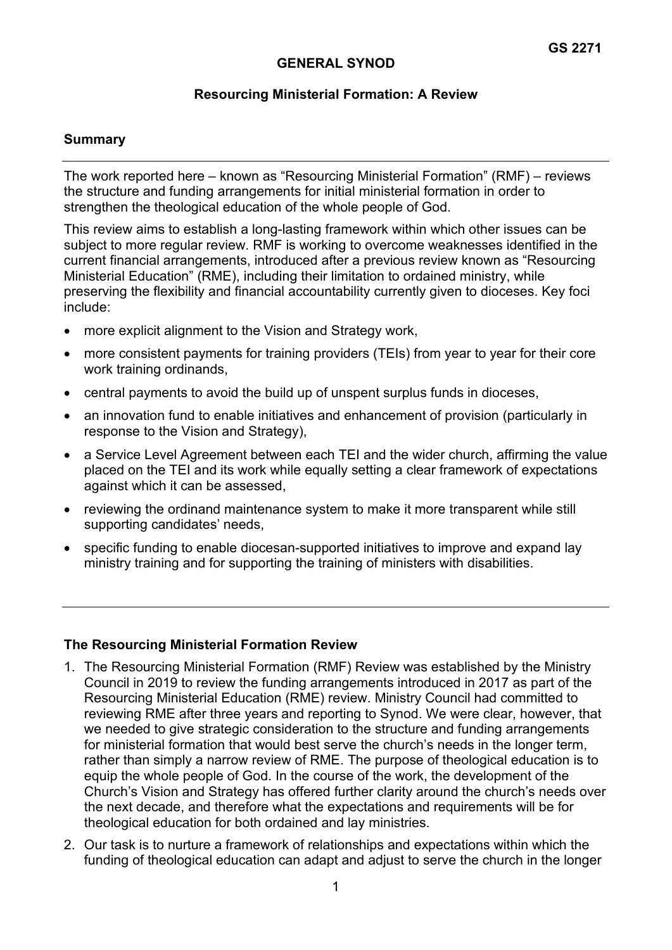## **GENERAL SYNOD**

### **Resourcing Ministerial Formation: A Review**

#### **Summary**

The work reported here – known as "Resourcing Ministerial Formation" (RMF) – reviews the structure and funding arrangements for initial ministerial formation in order to strengthen the theological education of the whole people of God.

This review aims to establish a long-lasting framework within which other issues can be subject to more regular review. RMF is working to overcome weaknesses identified in the current financial arrangements, introduced after a previous review known as "Resourcing Ministerial Education" (RME), including their limitation to ordained ministry, while preserving the flexibility and financial accountability currently given to dioceses. Key foci include:

- more explicit alignment to the Vision and Strategy work,
- more consistent payments for training providers (TEIs) from year to year for their core work training ordinands,
- central payments to avoid the build up of unspent surplus funds in dioceses,
- an innovation fund to enable initiatives and enhancement of provision (particularly in response to the Vision and Strategy),
- a Service Level Agreement between each TEI and the wider church, affirming the value placed on the TEI and its work while equally setting a clear framework of expectations against which it can be assessed,
- reviewing the ordinand maintenance system to make it more transparent while still supporting candidates' needs,
- specific funding to enable diocesan-supported initiatives to improve and expand lay ministry training and for supporting the training of ministers with disabilities.

#### **The Resourcing Ministerial Formation Review**

- 1. The Resourcing Ministerial Formation (RMF) Review was established by the Ministry Council in 2019 to review the funding arrangements introduced in 2017 as part of the Resourcing Ministerial Education (RME) review. Ministry Council had committed to reviewing RME after three years and reporting to Synod. We were clear, however, that we needed to give strategic consideration to the structure and funding arrangements for ministerial formation that would best serve the church's needs in the longer term, rather than simply a narrow review of RME. The purpose of theological education is to equip the whole people of God. In the course of the work, the development of the Church's Vision and Strategy has offered further clarity around the church's needs over the next decade, and therefore what the expectations and requirements will be for theological education for both ordained and lay ministries.
- 2. Our task is to nurture a framework of relationships and expectations within which the funding of theological education can adapt and adjust to serve the church in the longer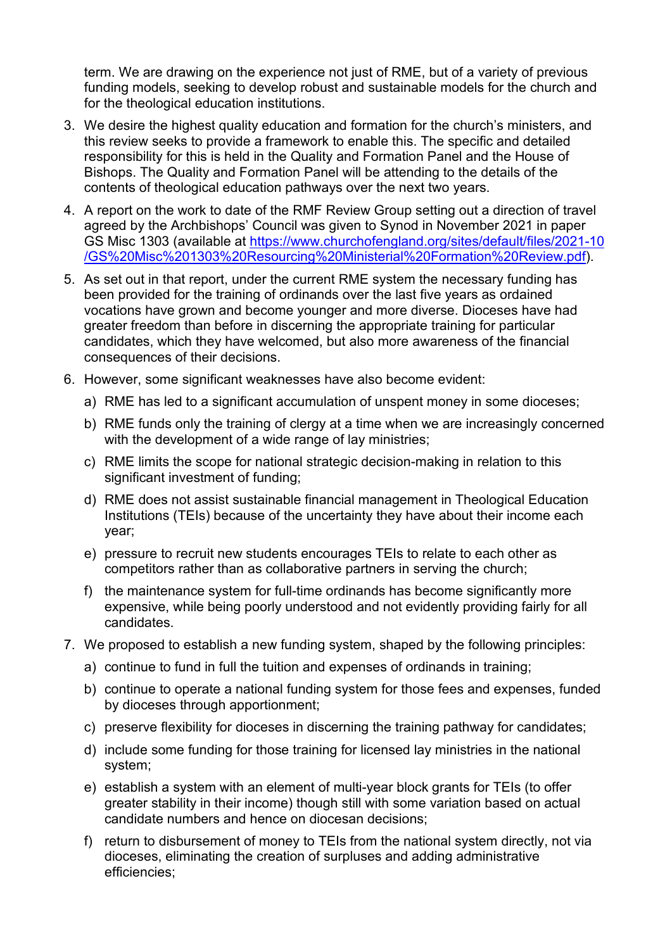term. We are drawing on the experience not just of RME, but of a variety of previous funding models, seeking to develop robust and sustainable models for the church and for the theological education institutions.

- 3. We desire the highest quality education and formation for the church's ministers, and this review seeks to provide a framework to enable this. The specific and detailed responsibility for this is held in the Quality and Formation Panel and the House of Bishops. The Quality and Formation Panel will be attending to the details of the contents of theological education pathways over the next two years.
- 4. A report on the work to date of the RMF Review Group setting out a direction of travel agreed by the Archbishops' Council was given to Synod in November 2021 in paper GS Misc 1303 (available at [https://www.churchofengland.org/sites/default/files/2021-10](https://www.churchofengland.org/sites/default/files/2021-10/GS%20Misc%201303%20Resourcing%20Ministerial%20Formation%20Review.pdf) [/GS%20Misc%201303%20Resourcing%20Ministerial%20Formation%20Review.pdf\)](https://www.churchofengland.org/sites/default/files/2021-10/GS%20Misc%201303%20Resourcing%20Ministerial%20Formation%20Review.pdf).
- 5. As set out in that report, under the current RME system the necessary funding has been provided for the training of ordinands over the last five years as ordained vocations have grown and become younger and more diverse. Dioceses have had greater freedom than before in discerning the appropriate training for particular candidates, which they have welcomed, but also more awareness of the financial consequences of their decisions.
- 6. However, some significant weaknesses have also become evident:
	- a) RME has led to a significant accumulation of unspent money in some dioceses;
	- b) RME funds only the training of clergy at a time when we are increasingly concerned with the development of a wide range of lay ministries;
	- c) RME limits the scope for national strategic decision-making in relation to this significant investment of funding;
	- d) RME does not assist sustainable financial management in Theological Education Institutions (TEIs) because of the uncertainty they have about their income each year;
	- e) pressure to recruit new students encourages TEIs to relate to each other as competitors rather than as collaborative partners in serving the church;
	- f) the maintenance system for full-time ordinands has become significantly more expensive, while being poorly understood and not evidently providing fairly for all candidates.
- 7. We proposed to establish a new funding system, shaped by the following principles:
	- a) continue to fund in full the tuition and expenses of ordinands in training;
	- b) continue to operate a national funding system for those fees and expenses, funded by dioceses through apportionment;
	- c) preserve flexibility for dioceses in discerning the training pathway for candidates;
	- d) include some funding for those training for licensed lay ministries in the national system;
	- e) establish a system with an element of multi-year block grants for TEIs (to offer greater stability in their income) though still with some variation based on actual candidate numbers and hence on diocesan decisions;
	- f) return to disbursement of money to TEIs from the national system directly, not via dioceses, eliminating the creation of surpluses and adding administrative efficiencies;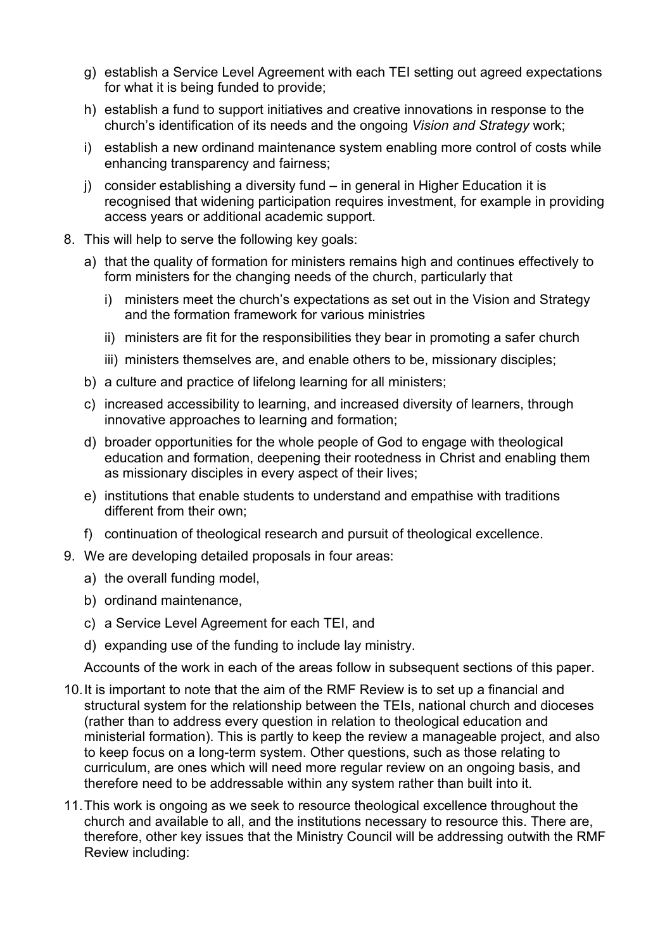- g) establish a Service Level Agreement with each TEI setting out agreed expectations for what it is being funded to provide;
- h) establish a fund to support initiatives and creative innovations in response to the church's identification of its needs and the ongoing *Vision and Strategy* work;
- i) establish a new ordinand maintenance system enabling more control of costs while enhancing transparency and fairness;
- j) consider establishing a diversity fund in general in Higher Education it is recognised that widening participation requires investment, for example in providing access years or additional academic support.
- 8. This will help to serve the following key goals:
	- a) that the quality of formation for ministers remains high and continues effectively to form ministers for the changing needs of the church, particularly that
		- i) ministers meet the church's expectations as set out in the Vision and Strategy and the formation framework for various ministries
		- ii) ministers are fit for the responsibilities they bear in promoting a safer church
		- iii) ministers themselves are, and enable others to be, missionary disciples;
	- b) a culture and practice of lifelong learning for all ministers;
	- c) increased accessibility to learning, and increased diversity of learners, through innovative approaches to learning and formation;
	- d) broader opportunities for the whole people of God to engage with theological education and formation, deepening their rootedness in Christ and enabling them as missionary disciples in every aspect of their lives;
	- e) institutions that enable students to understand and empathise with traditions different from their own;
	- f) continuation of theological research and pursuit of theological excellence.
- 9. We are developing detailed proposals in four areas:
	- a) the overall funding model,
	- b) ordinand maintenance,
	- c) a Service Level Agreement for each TEI, and
	- d) expanding use of the funding to include lay ministry.

Accounts of the work in each of the areas follow in subsequent sections of this paper.

- 10.It is important to note that the aim of the RMF Review is to set up a financial and structural system for the relationship between the TEIs, national church and dioceses (rather than to address every question in relation to theological education and ministerial formation). This is partly to keep the review a manageable project, and also to keep focus on a long-term system. Other questions, such as those relating to curriculum, are ones which will need more regular review on an ongoing basis, and therefore need to be addressable within any system rather than built into it.
- 11.This work is ongoing as we seek to resource theological excellence throughout the church and available to all, and the institutions necessary to resource this. There are, therefore, other key issues that the Ministry Council will be addressing outwith the RMF Review including: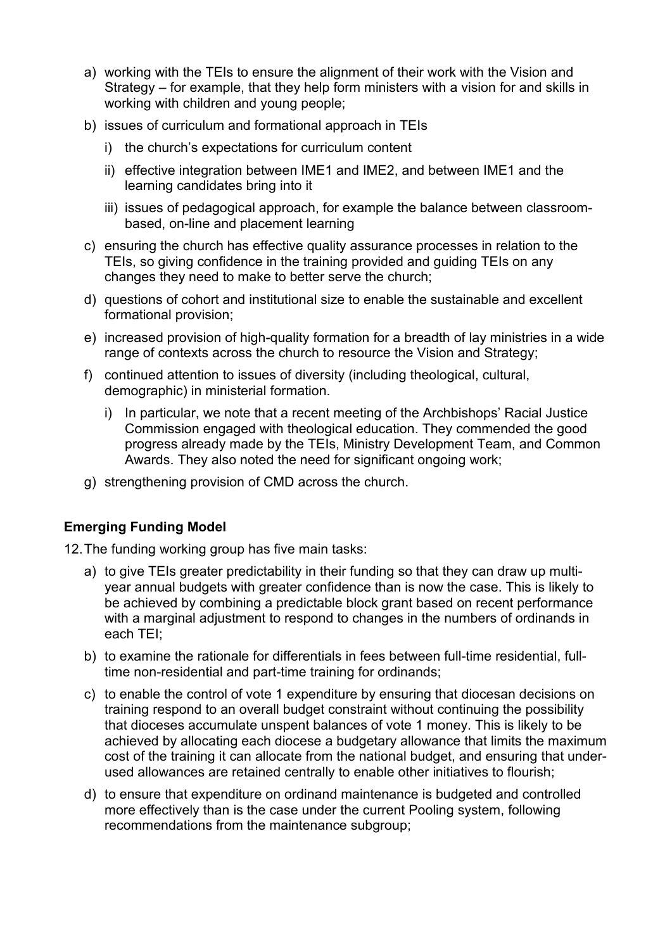- a) working with the TEIs to ensure the alignment of their work with the Vision and Strategy – for example, that they help form ministers with a vision for and skills in working with children and young people;
- b) issues of curriculum and formational approach in TEIs
	- i) the church's expectations for curriculum content
	- ii) effective integration between IME1 and IME2, and between IME1 and the learning candidates bring into it
	- iii) issues of pedagogical approach, for example the balance between classroombased, on-line and placement learning
- c) ensuring the church has effective quality assurance processes in relation to the TEIs, so giving confidence in the training provided and guiding TEIs on any changes they need to make to better serve the church;
- d) questions of cohort and institutional size to enable the sustainable and excellent formational provision;
- e) increased provision of high-quality formation for a breadth of lay ministries in a wide range of contexts across the church to resource the Vision and Strategy;
- f) continued attention to issues of diversity (including theological, cultural, demographic) in ministerial formation.
	- i) In particular, we note that a recent meeting of the Archbishops' Racial Justice Commission engaged with theological education. They commended the good progress already made by the TEIs, Ministry Development Team, and Common Awards. They also noted the need for significant ongoing work;
- g) strengthening provision of CMD across the church.

# **Emerging Funding Model**

12.The funding working group has five main tasks:

- a) to give TEIs greater predictability in their funding so that they can draw up multiyear annual budgets with greater confidence than is now the case. This is likely to be achieved by combining a predictable block grant based on recent performance with a marginal adjustment to respond to changes in the numbers of ordinands in each TEI;
- b) to examine the rationale for differentials in fees between full-time residential, fulltime non-residential and part-time training for ordinands;
- c) to enable the control of vote 1 expenditure by ensuring that diocesan decisions on training respond to an overall budget constraint without continuing the possibility that dioceses accumulate unspent balances of vote 1 money. This is likely to be achieved by allocating each diocese a budgetary allowance that limits the maximum cost of the training it can allocate from the national budget, and ensuring that underused allowances are retained centrally to enable other initiatives to flourish;
- d) to ensure that expenditure on ordinand maintenance is budgeted and controlled more effectively than is the case under the current Pooling system, following recommendations from the maintenance subgroup;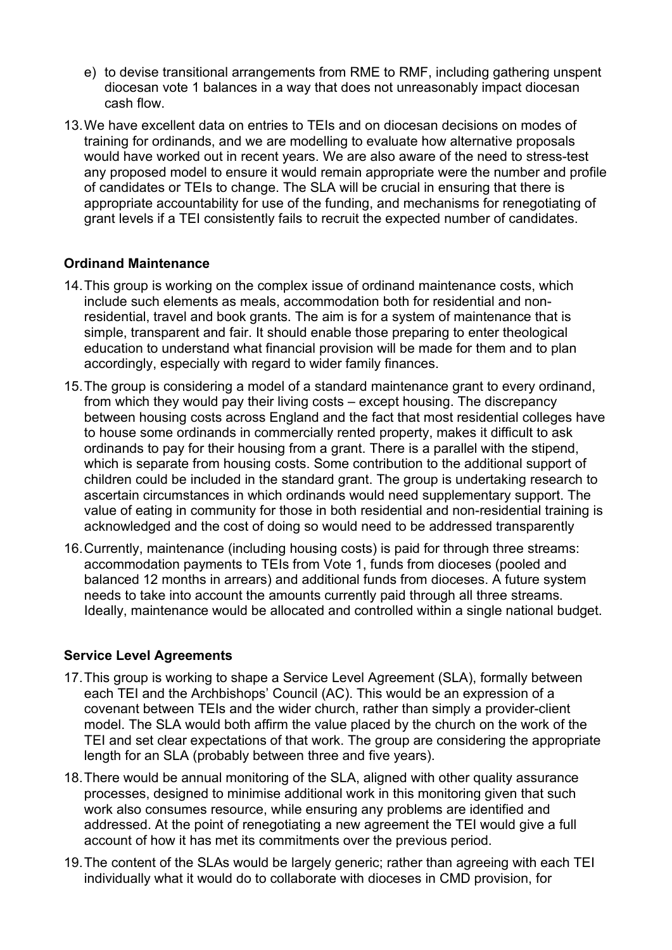- e) to devise transitional arrangements from RME to RMF, including gathering unspent diocesan vote 1 balances in a way that does not unreasonably impact diocesan cash flow.
- 13.We have excellent data on entries to TEIs and on diocesan decisions on modes of training for ordinands, and we are modelling to evaluate how alternative proposals would have worked out in recent years. We are also aware of the need to stress-test any proposed model to ensure it would remain appropriate were the number and profile of candidates or TEIs to change. The SLA will be crucial in ensuring that there is appropriate accountability for use of the funding, and mechanisms for renegotiating of grant levels if a TEI consistently fails to recruit the expected number of candidates.

### **Ordinand Maintenance**

- 14.This group is working on the complex issue of ordinand maintenance costs, which include such elements as meals, accommodation both for residential and nonresidential, travel and book grants. The aim is for a system of maintenance that is simple, transparent and fair. It should enable those preparing to enter theological education to understand what financial provision will be made for them and to plan accordingly, especially with regard to wider family finances.
- 15.The group is considering a model of a standard maintenance grant to every ordinand, from which they would pay their living costs – except housing. The discrepancy between housing costs across England and the fact that most residential colleges have to house some ordinands in commercially rented property, makes it difficult to ask ordinands to pay for their housing from a grant. There is a parallel with the stipend, which is separate from housing costs. Some contribution to the additional support of children could be included in the standard grant. The group is undertaking research to ascertain circumstances in which ordinands would need supplementary support. The value of eating in community for those in both residential and non-residential training is acknowledged and the cost of doing so would need to be addressed transparently
- 16.Currently, maintenance (including housing costs) is paid for through three streams: accommodation payments to TEIs from Vote 1, funds from dioceses (pooled and balanced 12 months in arrears) and additional funds from dioceses. A future system needs to take into account the amounts currently paid through all three streams. Ideally, maintenance would be allocated and controlled within a single national budget.

#### **Service Level Agreements**

- 17.This group is working to shape a Service Level Agreement (SLA), formally between each TEI and the Archbishops' Council (AC). This would be an expression of a covenant between TEIs and the wider church, rather than simply a provider-client model. The SLA would both affirm the value placed by the church on the work of the TEI and set clear expectations of that work. The group are considering the appropriate length for an SLA (probably between three and five years).
- 18.There would be annual monitoring of the SLA, aligned with other quality assurance processes, designed to minimise additional work in this monitoring given that such work also consumes resource, while ensuring any problems are identified and addressed. At the point of renegotiating a new agreement the TEI would give a full account of how it has met its commitments over the previous period.
- 19.The content of the SLAs would be largely generic; rather than agreeing with each TEI individually what it would do to collaborate with dioceses in CMD provision, for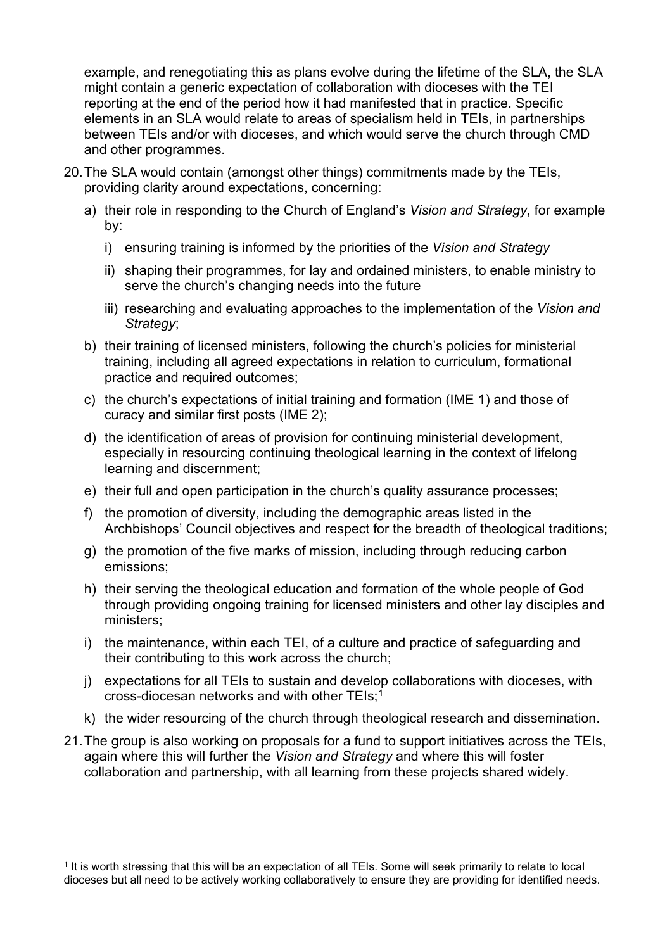example, and renegotiating this as plans evolve during the lifetime of the SLA, the SLA might contain a generic expectation of collaboration with dioceses with the TEI reporting at the end of the period how it had manifested that in practice. Specific elements in an SLA would relate to areas of specialism held in TEIs, in partnerships between TEIs and/or with dioceses, and which would serve the church through CMD and other programmes.

- 20.The SLA would contain (amongst other things) commitments made by the TEIs, providing clarity around expectations, concerning:
	- a) their role in responding to the Church of England's *Vision and Strategy*, for example by:
		- i) ensuring training is informed by the priorities of the *Vision and Strategy*
		- ii) shaping their programmes, for lay and ordained ministers, to enable ministry to serve the church's changing needs into the future
		- iii) researching and evaluating approaches to the implementation of the *Vision and Strategy*;
	- b) their training of licensed ministers, following the church's policies for ministerial training, including all agreed expectations in relation to curriculum, formational practice and required outcomes;
	- c) the church's expectations of initial training and formation (IME 1) and those of curacy and similar first posts (IME 2);
	- d) the identification of areas of provision for continuing ministerial development, especially in resourcing continuing theological learning in the context of lifelong learning and discernment;
	- e) their full and open participation in the church's quality assurance processes;
	- f) the promotion of diversity, including the demographic areas listed in the Archbishops' Council objectives and respect for the breadth of theological traditions;
	- g) the promotion of the five marks of mission, including through reducing carbon emissions;
	- h) their serving the theological education and formation of the whole people of God through providing ongoing training for licensed ministers and other lay disciples and ministers;
	- i) the maintenance, within each TEI, of a culture and practice of safeguarding and their contributing to this work across the church;
	- j) expectations for all TEIs to sustain and develop collaborations with dioceses, with cross-diocesan networks and with other TEIs;[1](#page-5-0)
	- k) the wider resourcing of the church through theological research and dissemination.
- 21.The group is also working on proposals for a fund to support initiatives across the TEIs, again where this will further the *Vision and Strategy* and where this will foster collaboration and partnership, with all learning from these projects shared widely.

<span id="page-5-0"></span><sup>&</sup>lt;sup>1</sup> It is worth stressing that this will be an expectation of all TEIs. Some will seek primarily to relate to local dioceses but all need to be actively working collaboratively to ensure they are providing for identified needs.